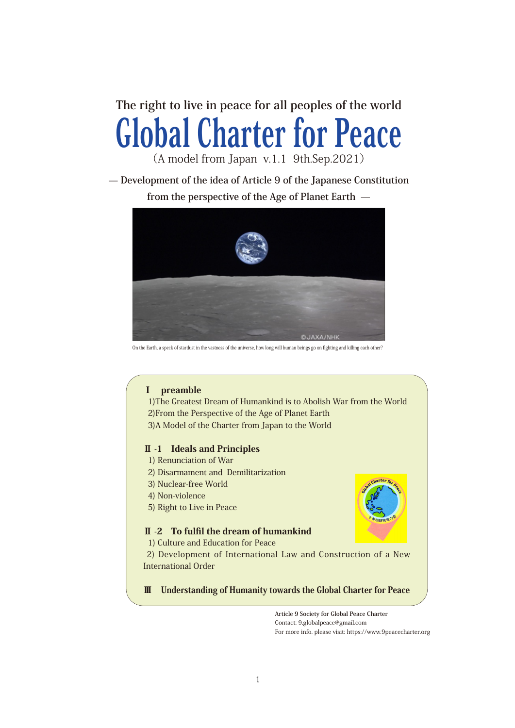**The right to live in peace for all peoples of the world** Global Charter for Peace

(A model from Japan v.1.1 9th.Sep.2021)

**̶ Development of the idea of Article 9 of the Japanese Constitution from the perspective of the Age of Planet Earth ̶**



On the Earth, a speck of stardust in the vastness of the universe, how long will human beings go on fighting and killing each other?

# Ⅰ preamble

 1)The Greatest Dream of Humankind is to Abolish War from the World 2)From the Perspective of the Age of Planet Earth 3)A Model of the Charter from Japan to the World

## Ⅱ -1 Ideals and Principles

- 1) Renunciation of War
- 2) Disarmament and Demilitarization
- 3) Nuclear-free World
- 4) Non-violence
- 5) Right to Live in Peace

## Ⅱ -2 To fulfil the dream of humankind

1) Culture and Education for Peace

 2) Development of International Law and Construction of a New International Order

Ⅲ Understanding of Humanity towards the Global Charter for Peace

**Article 9 Society for Global Peace Charter** Contact: 9.globalpeace@gmail.com For more info. please visit: https://www.9peacecharter.org

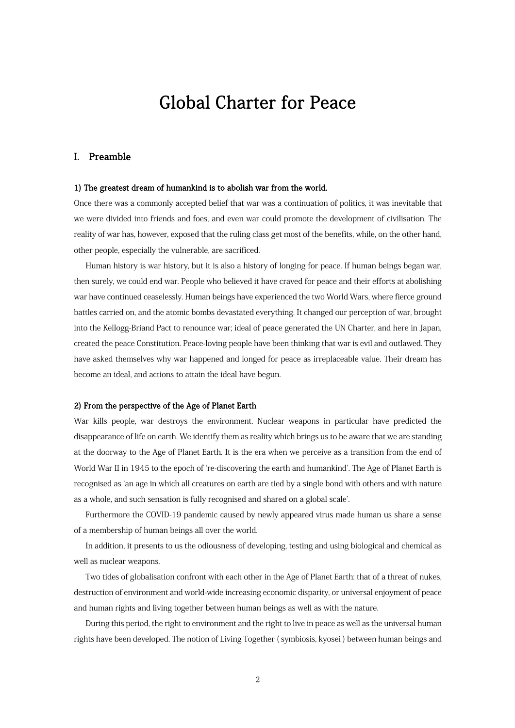# Global Charter for Peace

## I. Preamble

#### 1) The greatest dream of humankind is to abolish war from the world.

Once there was a commonly accepted belief that war was a continuation of politics, it was inevitable that we were divided into friends and foes, and even war could promote the development of civilisation. The reality of war has, however, exposed that the ruling class get most of the benefits, while, on the other hand, other people, especially the vulnerable, are sacrificed.

Human history is war history, but it is also a history of longing for peace. If human beings began war, then surely, we could end war. People who believed it have craved for peace and their efforts at abolishing war have continued ceaselessly. Human beings have experienced the two World Wars, where fierce ground battles carried on, and the atomic bombs devastated everything. It changed our perception of war, brought into the Kellogg-Briand Pact to renounce war; ideal of peace generated the UN Charter, and here in Japan, created the peace Constitution. Peace-loving people have been thinking that war is evil and outlawed. They have asked themselves why war happened and longed for peace as irreplaceable value. Their dream has become an ideal, and actions to attain the ideal have begun.

#### 2) From the perspective of the Age of Planet Earth

War kills people, war destroys the environment. Nuclear weapons in particular have predicted the disappearance of life on earth. We identify them as reality which brings us to be aware that we are standing at the doorway to the Age of Planet Earth. It is the era when we perceive as a transition from the end of World War II in 1945 to the epoch of ʻre-discovering the earth and humankind'. The Age of Planet Earth is recognised as ʻan age in which all creatures on earth are tied by a single bond with others and with nature as a whole, and such sensation is fully recognised and shared on a global scale'.

 Furthermore the COVID-19 pandemic caused by newly appeared virus made human us share a sense of a membership of human beings all over the world.

 In addition, it presents to us the odiousness of developing, testing and using biological and chemical as well as nuclear weapons.

 Two tides of globalisation confront with each other in the Age of Planet Earth: that of a threat of nukes, destruction of environment and world-wide increasing economic disparity, or universal enjoyment of peace and human rights and living together between human beings as well as with the nature.

During this period, the right to environment and the right to live in peace as well as the universal human rights have been developed. The notion of Living Together ( symbiosis, kyosei ) between human beings and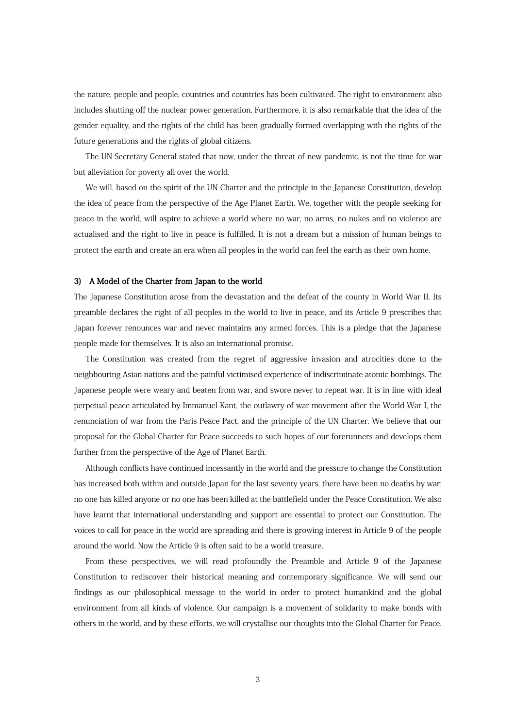the nature, people and people, countries and countries has been cultivated. The right to environment also includes shutting off the nuclear power generation. Furthermore, it is also remarkable that the idea of the gender equality, and the rights of the child has been gradually formed overlapping with the rights of the future generations and the rights of global citizens.

 The UN Secretary General stated that now, under the threat of new pandemic, is not the time for war but alleviation for poverty all over the world.

We will, based on the spirit of the UN Charter and the principle in the Japanese Constitution, develop the idea of peace from the perspective of the Age Planet Earth. We, together with the people seeking for peace in the world, will aspire to achieve a world where no war, no arms, no nukes and no violence are actualised and the right to live in peace is fulfilled. It is not a dream but a mission of human beings to protect the earth and create an era when all peoples in the world can feel the earth as their own home.

#### 3) A Model of the Charter from Japan to the world

The Japanese Constitution arose from the devastation and the defeat of the county in World War II. Its preamble declares the right of all peoples in the world to live in peace, and its Article 9 prescribes that Japan forever renounces war and never maintains any armed forces. This is a pledge that the Japanese people made for themselves. It is also an international promise.

 The Constitution was created from the regret of aggressive invasion and atrocities done to the neighbouring Asian nations and the painful victimised experience of indiscriminate atomic bombings. The Japanese people were weary and beaten from war, and swore never to repeat war. It is in line with ideal perpetual peace articulated by Immanuel Kant, the outlawry of war movement after the World War I, the renunciation of war from the Paris Peace Pact, and the principle of the UN Charter. We believe that our proposal for the Global Charter for Peace succeeds to such hopes of our forerunners and develops them further from the perspective of the Age of Planet Earth.

Although conflicts have continued incessantly in the world and the pressure to change the Constitution has increased both within and outside Japan for the last seventy years, there have been no deaths by war; no one has killed anyone or no one has been killed at the battlefield under the Peace Constitution. We also have learnt that international understanding and support are essential to protect our Constitution. The voices to call for peace in the world are spreading and there is growing interest in Article 9 of the people around the world. Now the Article 9 is often said to be a world treasure.

From these perspectives, we will read profoundly the Preamble and Article 9 of the Japanese Constitution to rediscover their historical meaning and contemporary significance. We will send our findings as our philosophical message to the world in order to protect humankind and the global environment from all kinds of violence. Our campaign is a movement of solidarity to make bonds with others in the world, and by these efforts, we will crystallise our thoughts into the Global Charter for Peace.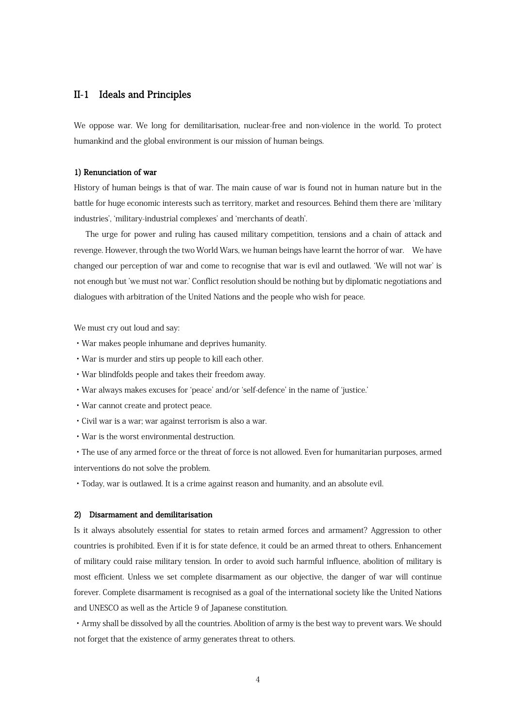## II-1 Ideals and Principles

We oppose war. We long for demilitarisation, nuclear-free and non-violence in the world. To protect humankind and the global environment is our mission of human beings.

#### 1) Renunciation of war

History of human beings is that of war. The main cause of war is found not in human nature but in the battle for huge economic interests such as territory, market and resources. Behind them there are ʻmilitary industries', ʻmilitary-industrial complexes' and ʻmerchants of death'.

The urge for power and ruling has caused military competition, tensions and a chain of attack and revenge. However, through the two World Wars, we human beings have learnt the horror of war. We have changed our perception of war and come to recognise that war is evil and outlawed. ʻWe will not war' is not enough but 'we must not war.' Conflict resolution should be nothing but by diplomatic negotiations and dialogues with arbitration of the United Nations and the people who wish for peace.

We must cry out loud and say:

- ・War makes people inhumane and deprives humanity.
- ・War is murder and stirs up people to kill each other.
- ・War blindfolds people and takes their freedom away.
- ・War always makes excuses for ʻpeace' and/or ʻself-defence' in the name of ʻjustice.'
- ・War cannot create and protect peace.
- ・Civil war is a war; war against terrorism is also a war.
- ・War is the worst environmental destruction.

・The use of any armed force or the threat of force is not allowed. Even for humanitarian purposes, armed interventions do not solve the problem.

・Today, war is outlawed. It is a crime against reason and humanity, and an absolute evil.

#### 2) Disarmament and demilitarisation

Is it always absolutely essential for states to retain armed forces and armament? Aggression to other countries is prohibited. Even if it is for state defence, it could be an armed threat to others. Enhancement of military could raise military tension. In order to avoid such harmful influence, abolition of military is most efficient. Unless we set complete disarmament as our objective, the danger of war will continue forever. Complete disarmament is recognised as a goal of the international society like the United Nations and UNESCO as well as the Article 9 of Japanese constitution.

・Army shall be dissolved by all the countries. Abolition of army is the best way to prevent wars. We should not forget that the existence of army generates threat to others.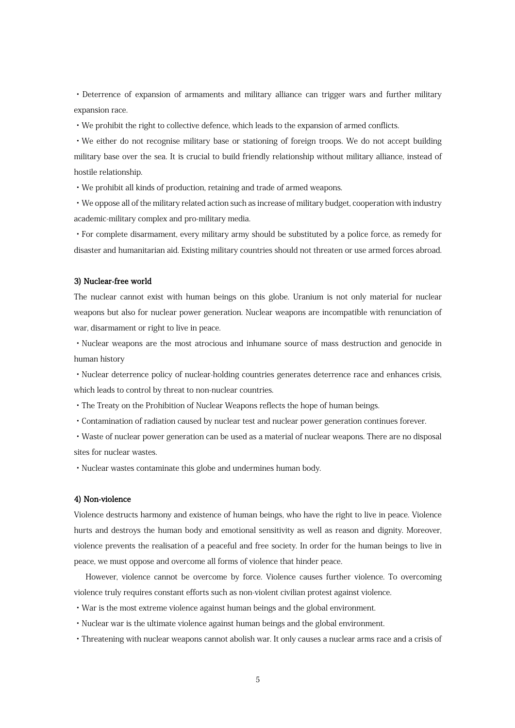・Deterrence of expansion of armaments and military alliance can trigger wars and further military expansion race.

・We prohibit the right to collective defence, which leads to the expansion of armed conflicts.

・We either do not recognise military base or stationing of foreign troops. We do not accept building military base over the sea. It is crucial to build friendly relationship without military alliance, instead of hostile relationship.

・We prohibit all kinds of production, retaining and trade of armed weapons.

・We oppose all of the military related action such as increase of military budget, cooperation with industry academic-military complex and pro-military media.

・For complete disarmament, every military army should be substituted by a police force, as remedy for disaster and humanitarian aid. Existing military countries should not threaten or use armed forces abroad.

#### 3) Nuclear-free world

The nuclear cannot exist with human beings on this globe. Uranium is not only material for nuclear weapons but also for nuclear power generation. Nuclear weapons are incompatible with renunciation of war, disarmament or right to live in peace.

・Nuclear weapons are the most atrocious and inhumane source of mass destruction and genocide in human history

・Nuclear deterrence policy of nuclear-holding countries generates deterrence race and enhances crisis, which leads to control by threat to non-nuclear countries.

・The Treaty on the Prohibition of Nuclear Weapons reflects the hope of human beings.

・Contamination of radiation caused by nuclear test and nuclear power generation continues forever.

・Waste of nuclear power generation can be used as a material of nuclear weapons. There are no disposal sites for nuclear wastes.

・Nuclear wastes contaminate this globe and undermines human body.

#### 4) Non-violence

Violence destructs harmony and existence of human beings, who have the right to live in peace. Violence hurts and destroys the human body and emotional sensitivity as well as reason and dignity. Moreover, violence prevents the realisation of a peaceful and free society. In order for the human beings to live in peace, we must oppose and overcome all forms of violence that hinder peace.

However, violence cannot be overcome by force. Violence causes further violence. To overcoming violence truly requires constant efforts such as non-violent civilian protest against violence.

- ・War is the most extreme violence against human beings and the global environment.
- ・Nuclear war is the ultimate violence against human beings and the global environment.
- ・Threatening with nuclear weapons cannot abolish war. It only causes a nuclear arms race and a crisis of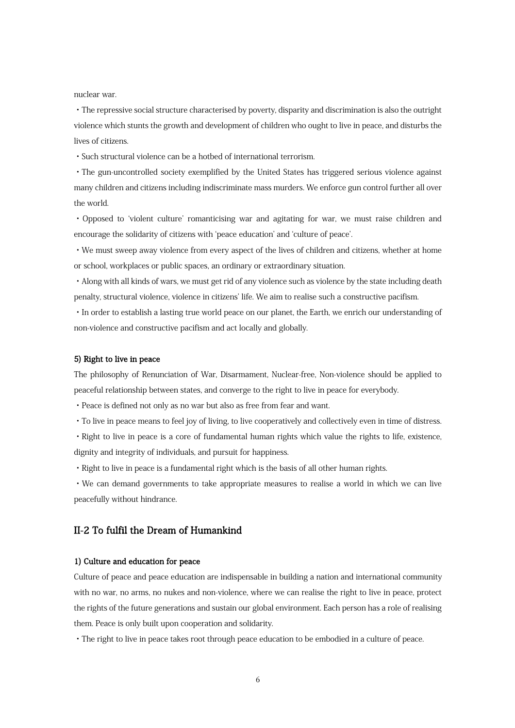nuclear war.

・The repressive social structure characterised by poverty, disparity and discrimination is also the outright violence which stunts the growth and development of children who ought to live in peace, and disturbs the lives of citizens.

・Such structural violence can be a hotbed of international terrorism.

・The gun-uncontrolled society exemplified by the United States has triggered serious violence against many children and citizens including indiscriminate mass murders. We enforce gun control further all over the world.

・Opposed to ʻviolent culture' romanticising war and agitating for war, we must raise children and encourage the solidarity of citizens with ʻpeace education' and ʻculture of peace'.

・We must sweep away violence from every aspect of the lives of children and citizens, whether at home or school, workplaces or public spaces, an ordinary or extraordinary situation.

・Along with all kinds of wars, we must get rid of any violence such as violence by the state including death penalty, structural violence, violence in citizens' life. We aim to realise such a constructive pacifism.

・In order to establish a lasting true world peace on our planet, the Earth, we enrich our understanding of non-violence and constructive pacifism and act locally and globally.

#### 5) Right to live in peace

The philosophy of Renunciation of War, Disarmament, Nuclear-free, Non-violence should be applied to peaceful relationship between states, and converge to the right to live in peace for everybody.

・Peace is defined not only as no war but also as free from fear and want.

・To live in peace means to feel joy of living, to live cooperatively and collectively even in time of distress.

・Right to live in peace is a core of fundamental human rights which value the rights to life, existence, dignity and integrity of individuals, and pursuit for happiness.

・Right to live in peace is a fundamental right which is the basis of all other human rights.

・We can demand governments to take appropriate measures to realise a world in which we can live peacefully without hindrance.

## II-2 To fulfil the Dream of Humankind

#### 1) Culture and education for peace

Culture of peace and peace education are indispensable in building a nation and international community with no war, no arms, no nukes and non-violence, where we can realise the right to live in peace, protect the rights of the future generations and sustain our global environment. Each person has a role of realising them. Peace is only built upon cooperation and solidarity.

・The right to live in peace takes root through peace education to be embodied in a culture of peace.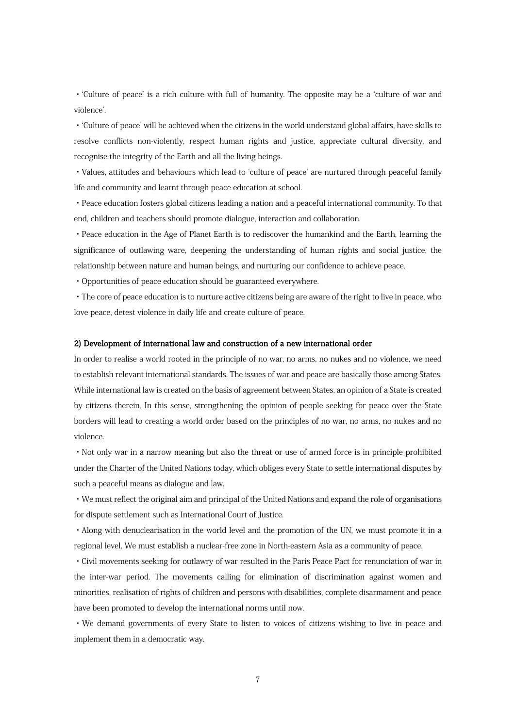・ʻCulture of peace' is a rich culture with full of humanity. The opposite may be a ʻculture of war and violence'.

・ʻCulture of peace' will be achieved when the citizens in the world understand global affairs, have skills to resolve conflicts non-violently, respect human rights and justice, appreciate cultural diversity, and recognise the integrity of the Earth and all the living beings.

・Values, attitudes and behaviours which lead to ʻculture of peace' are nurtured through peaceful family life and community and learnt through peace education at school.

・Peace education fosters global citizens leading a nation and a peaceful international community. To that end, children and teachers should promote dialogue, interaction and collaboration.

・Peace education in the Age of Planet Earth is to rediscover the humankind and the Earth, learning the significance of outlawing ware, deepening the understanding of human rights and social justice, the relationship between nature and human beings, and nurturing our confidence to achieve peace.

・Opportunities of peace education should be guaranteed everywhere.

・The core of peace education is to nurture active citizens being are aware of the right to live in peace, who love peace, detest violence in daily life and create culture of peace.

#### 2) Development of international law and construction of a new international order

In order to realise a world rooted in the principle of no war, no arms, no nukes and no violence, we need to establish relevant international standards. The issues of war and peace are basically those among States. While international law is created on the basis of agreement between States, an opinion of a State is created by citizens therein. In this sense, strengthening the opinion of people seeking for peace over the State borders will lead to creating a world order based on the principles of no war, no arms, no nukes and no violence.

・Not only war in a narrow meaning but also the threat or use of armed force is in principle prohibited under the Charter of the United Nations today, which obliges every State to settle international disputes by such a peaceful means as dialogue and law.

・We must reflect the original aim and principal of the United Nations and expand the role of organisations for dispute settlement such as International Court of Justice.

・Along with denuclearisation in the world level and the promotion of the UN, we must promote it in a regional level. We must establish a nuclear-free zone in North-eastern Asia as a community of peace.

・Civil movements seeking for outlawry of war resulted in the Paris Peace Pact for renunciation of war in the inter-war period. The movements calling for elimination of discrimination against women and minorities, realisation of rights of children and persons with disabilities, complete disarmament and peace have been promoted to develop the international norms until now.

・We demand governments of every State to listen to voices of citizens wishing to live in peace and implement them in a democratic way.